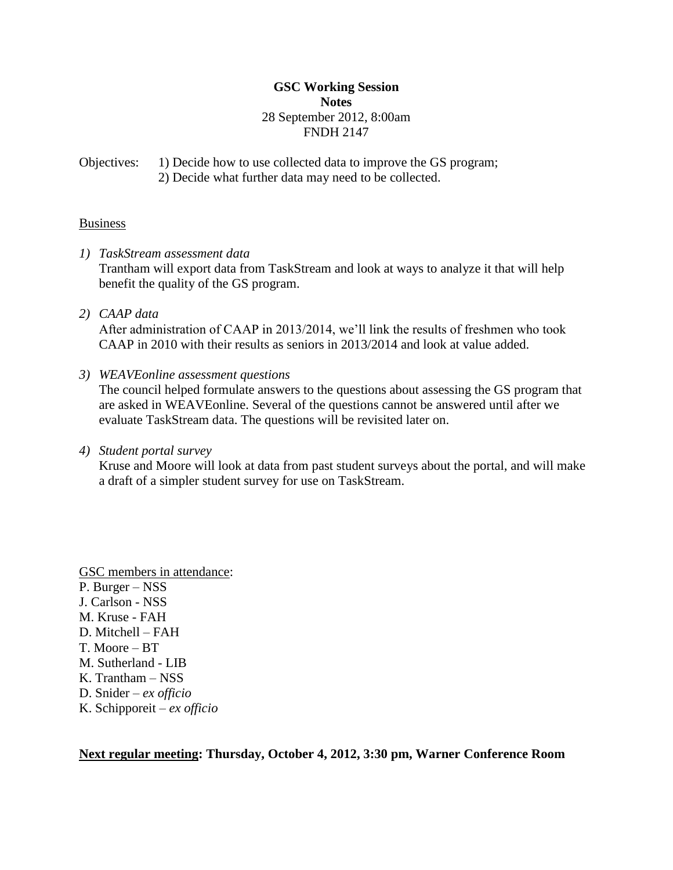## **GSC Working Session Notes** 28 September 2012, 8:00am FNDH 2147

Objectives: 1) Decide how to use collected data to improve the GS program; 2) Decide what further data may need to be collected.

# **Business**

- *1) TaskStream assessment data* Trantham will export data from TaskStream and look at ways to analyze it that will help benefit the quality of the GS program.
- *2) CAAP data*

After administration of CAAP in 2013/2014, we'll link the results of freshmen who took CAAP in 2010 with their results as seniors in 2013/2014 and look at value added.

*3) WEAVEonline assessment questions*

The council helped formulate answers to the questions about assessing the GS program that are asked in WEAVEonline. Several of the questions cannot be answered until after we evaluate TaskStream data. The questions will be revisited later on.

*4) Student portal survey*

Kruse and Moore will look at data from past student surveys about the portal, and will make a draft of a simpler student survey for use on TaskStream.

GSC members in attendance: P. Burger – NSS J. Carlson - NSS M. Kruse - FAH D. Mitchell – FAH T. Moore – BT M. Sutherland - LIB K. Trantham – NSS D. Snider – *ex officio* K. Schipporeit – *ex officio*

**Next regular meeting: Thursday, October 4, 2012, 3:30 pm, Warner Conference Room**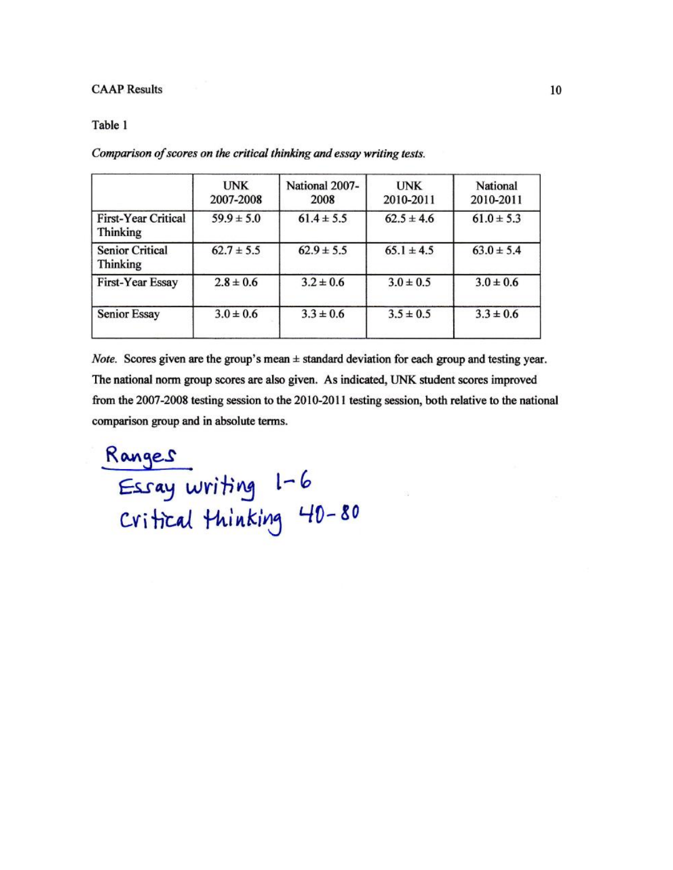#### **CAAP Results**

#### Table 1

|                                               | <b>UNK</b><br>2007-2008 | National 2007-<br>2008 | <b>UNK</b><br>2010-2011 | National<br>2010-2011 |
|-----------------------------------------------|-------------------------|------------------------|-------------------------|-----------------------|
| <b>First-Year Critical</b><br><b>Thinking</b> | $59.9 \pm 5.0$          | $61.4 \pm 5.5$         | $62.5 \pm 4.6$          | $61.0 \pm 5.3$        |
| <b>Senior Critical</b><br><b>Thinking</b>     | $62.7 \pm 5.5$          | $62.9 \pm 5.5$         | $65.1 \pm 4.5$          | $63.0 \pm 5.4$        |
| First-Year Essay                              | $2.8 \pm 0.6$           | $3.2 \pm 0.6$          | $3.0 \pm 0.5$           | $3.0 \pm 0.6$         |
| <b>Senior Essay</b>                           | $3.0 \pm 0.6$           | $3.3 \pm 0.6$          | $3.5 \pm 0.5$           | $3.3 \pm 0.6$         |

Comparison of scores on the critical thinking and essay writing tests.

*Note.* Scores given are the group's mean  $\pm$  standard deviation for each group and testing year. The national norm group scores are also given. As indicated, UNK student scores improved from the 2007-2008 testing session to the 2010-2011 testing session, both relative to the national comparison group and in absolute terms.

Ranges<br>Essay writing 1-6<br>Critical thinking 40-80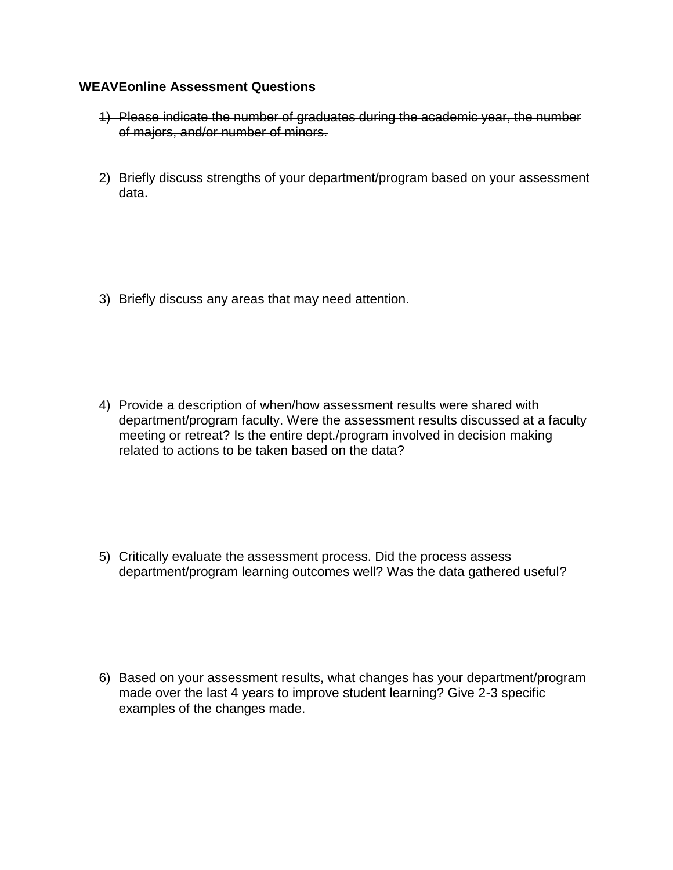# **WEAVEonline Assessment Questions**

- 1) Please indicate the number of graduates during the academic year, the number of majors, and/or number of minors.
- 2) Briefly discuss strengths of your department/program based on your assessment data.

3) Briefly discuss any areas that may need attention.

4) Provide a description of when/how assessment results were shared with department/program faculty. Were the assessment results discussed at a faculty meeting or retreat? Is the entire dept./program involved in decision making related to actions to be taken based on the data?

5) Critically evaluate the assessment process. Did the process assess department/program learning outcomes well? Was the data gathered useful?

6) Based on your assessment results, what changes has your department/program made over the last 4 years to improve student learning? Give 2-3 specific examples of the changes made.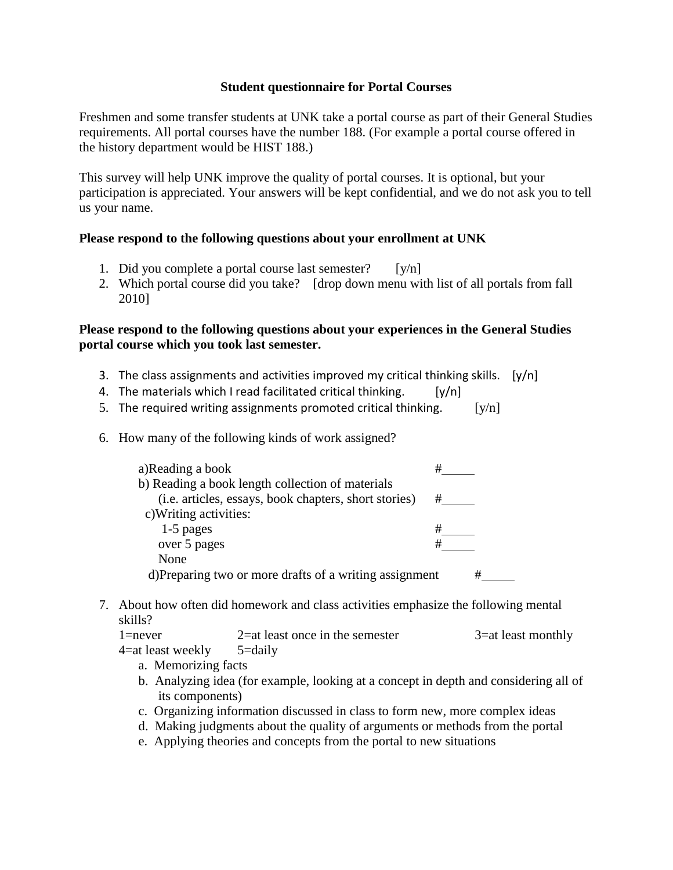## **Student questionnaire for Portal Courses**

Freshmen and some transfer students at UNK take a portal course as part of their General Studies requirements. All portal courses have the number 188. (For example a portal course offered in the history department would be HIST 188.)

This survey will help UNK improve the quality of portal courses. It is optional, but your participation is appreciated. Your answers will be kept confidential, and we do not ask you to tell us your name.

# **Please respond to the following questions about your enrollment at UNK**

- 1. Did you complete a portal course last semester?  $[y/n]$
- 2. Which portal course did you take? [drop down menu with list of all portals from fall 2010]

# **Please respond to the following questions about your experiences in the General Studies portal course which you took last semester.**

- 3. The class assignments and activities improved my critical thinking skills.  $[y/n]$
- 4. The materials which I read facilitated critical thinking.  $[y/n]$
- 5. The required writing assignments promoted critical thinking.  $[y/n]$
- 6. How many of the following kinds of work assigned?

| a)Reading a book                                        |   |
|---------------------------------------------------------|---|
| b) Reading a book length collection of materials        |   |
| (i.e. articles, essays, book chapters, short stories)   | # |
| c) Writing activities:                                  |   |
| 1-5 pages                                               | # |
| over 5 pages                                            |   |
| None                                                    |   |
| d) Preparing two or more drafts of a writing assignment | ₩ |

7. About how often did homework and class activities emphasize the following mental skills?

| $1 =$ never       | $2$ =at least once in the semester | 3=at least monthly |
|-------------------|------------------------------------|--------------------|
| 4=at least weekly | 5=daily                            |                    |

a. Memorizing facts

- b. Analyzing idea (for example, looking at a concept in depth and considering all of its components)
- c. Organizing information discussed in class to form new, more complex ideas
- d. Making judgments about the quality of arguments or methods from the portal
- e. Applying theories and concepts from the portal to new situations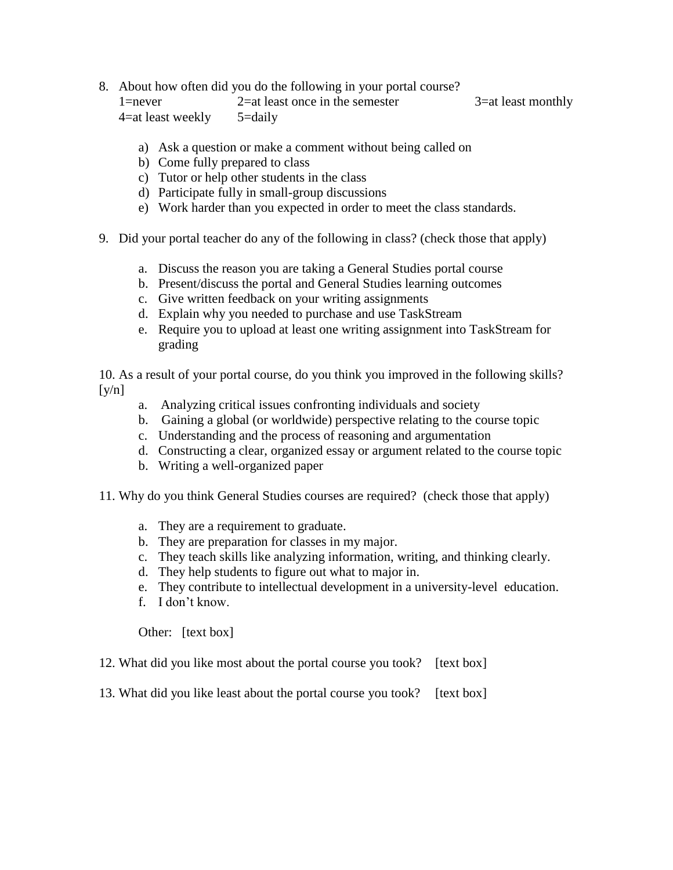#### 8. About how often did you do the following in your portal course?

1=never 2=at least once in the semester 3=at least monthly 4=at least weekly 5=daily

- a) Ask a question or make a comment without being called on
- b) Come fully prepared to class
- c) Tutor or help other students in the class
- d) Participate fully in small-group discussions
- e) Work harder than you expected in order to meet the class standards.
- 9. Did your portal teacher do any of the following in class? (check those that apply)
	- a. Discuss the reason you are taking a General Studies portal course
	- b. Present/discuss the portal and General Studies learning outcomes
	- c. Give written feedback on your writing assignments
	- d. Explain why you needed to purchase and use TaskStream
	- e. Require you to upload at least one writing assignment into TaskStream for grading

10. As a result of your portal course, do you think you improved in the following skills?  $\lceil y/n \rceil$ 

- a. Analyzing critical issues confronting individuals and society
- b. Gaining a global (or worldwide) perspective relating to the course topic
- c. Understanding and the process of reasoning and argumentation
- d. Constructing a clear, organized essay or argument related to the course topic
- b. Writing a well-organized paper
- 11. Why do you think General Studies courses are required? (check those that apply)
	- a. They are a requirement to graduate.
	- b. They are preparation for classes in my major.
	- c. They teach skills like analyzing information, writing, and thinking clearly.
	- d. They help students to figure out what to major in.
	- e. They contribute to intellectual development in a university-level education.
	- f. I don't know.

Other: [text box]

- 12. What did you like most about the portal course you took? [text box]
- 13. What did you like least about the portal course you took? [text box]